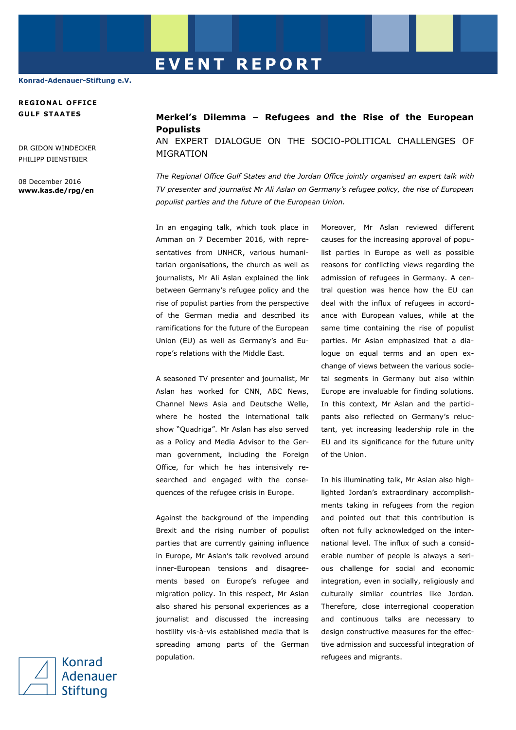## **E V E N T R E P O R T**

**Konrad-Adenauer-Stiftung e.V.**

## **REGIONA L OFF ICE GULF STAATES**

DR GIDON WINDECKER PHILIPP DIENSTRIER

08 December 2016 **www.kas.de/rpg/en** **Merkel's Dilemma – Refugees and the Rise of the European Populists**

AN EXPERT DIALOGUE ON THE SOCIO-POLITICAL CHALLENGES OF MIGRATION

*The Regional Office Gulf States and the Jordan Office jointly organised an expert talk with TV presenter and journalist Mr Ali Aslan on Germany's refugee policy, the rise of European populist parties and the future of the European Union.*

In an engaging talk, which took place in Amman on 7 December 2016, with representatives from UNHCR, various humanitarian organisations, the church as well as journalists, Mr Ali Aslan explained the link between Germany's refugee policy and the rise of populist parties from the perspective of the German media and described its ramifications for the future of the European Union (EU) as well as Germany's and Europe's relations with the Middle East.

A seasoned TV presenter and journalist, Mr Aslan has worked for CNN, ABC News, Channel News Asia and Deutsche Welle, where he hosted the international talk show "Quadriga". Mr Aslan has also served as a Policy and Media Advisor to the German government, including the Foreign Office, for which he has intensively researched and engaged with the consequences of the refugee crisis in Europe.

Against the background of the impending Brexit and the rising number of populist parties that are currently gaining influence in Europe, Mr Aslan's talk revolved around inner-European tensions and disagreements based on Europe's refugee and migration policy. In this respect, Mr Aslan also shared his personal experiences as a journalist and discussed the increasing hostility vis-à-vis established media that is spreading among parts of the German population.

Moreover, Mr Aslan reviewed different causes for the increasing approval of populist parties in Europe as well as possible reasons for conflicting views regarding the admission of refugees in Germany. A central question was hence how the EU can deal with the influx of refugees in accordance with European values, while at the same time containing the rise of populist parties. Mr Aslan emphasized that a dialogue on equal terms and an open exchange of views between the various societal segments in Germany but also within Europe are invaluable for finding solutions. In this context, Mr Aslan and the participants also reflected on Germany's reluctant, yet increasing leadership role in the EU and its significance for the future unity of the Union.

In his illuminating talk, Mr Aslan also highlighted Jordan's extraordinary accomplishments taking in refugees from the region and pointed out that this contribution is often not fully acknowledged on the international level. The influx of such a considerable number of people is always a serious challenge for social and economic integration, even in socially, religiously and culturally similar countries like Jordan. Therefore, close interregional cooperation and continuous talks are necessary to design constructive measures for the effective admission and successful integration of refugees and migrants.